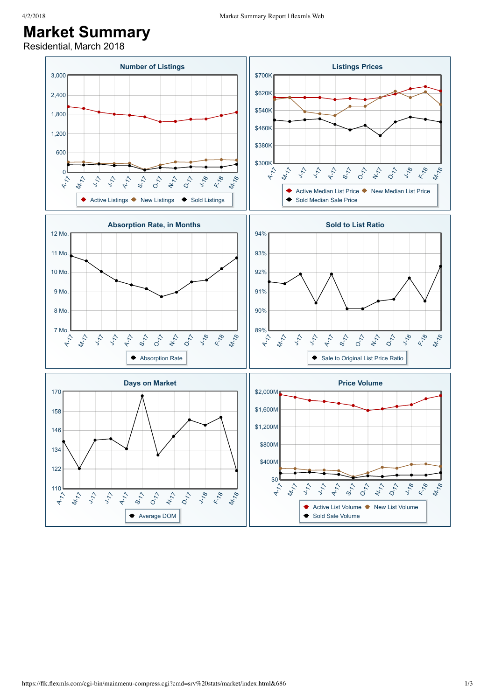## **Market Summary**

Residential, March 2018

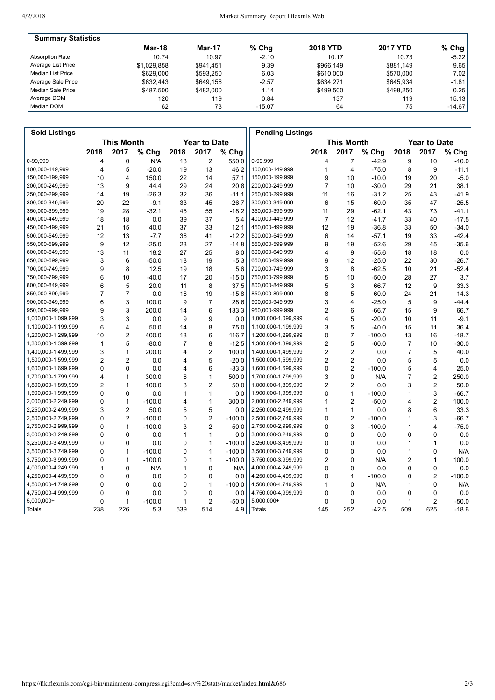| <b>Summary Statistics</b> |               |           |          |                 |                 |           |
|---------------------------|---------------|-----------|----------|-----------------|-----------------|-----------|
|                           | <b>Mar-18</b> | Mar-17    | $%$ Chq  | <b>2018 YTD</b> | <b>2017 YTD</b> | % Chg $ $ |
| <b>Absorption Rate</b>    | 10.74         | 10.97     | $-2.10$  | 10.17           | 10.73           | $-5.22$   |
| Average List Price        | \$1.029.858   | \$941.451 | 9.39     | \$966.149       | \$881.149       | 9.65      |
| l Median List Price       | \$629,000     | \$593.250 | 6.03     | \$610,000       | \$570,000       | 7.02      |
| Average Sale Price        | \$632.443     | \$649.156 | $-2.57$  | \$634.271       | \$645.934       | $-1.81$   |
| l Median Sale Price       | \$487.500     | \$482,000 | 1.14     | \$499.500       | \$498.250       | 0.25      |
| Average DOM               | 120           | 119       | 0.84     | 137             | 119             | 15.13     |
| Median DOM                | 62            | 73        | $-15.07$ | 64              | 75              | $-14.67$  |

| <b>Sold Listings</b> |                                          |                |          |                |                |          | <b>Pending Listings</b>                  |                |                |          |              |                |          |
|----------------------|------------------------------------------|----------------|----------|----------------|----------------|----------|------------------------------------------|----------------|----------------|----------|--------------|----------------|----------|
|                      | <b>This Month</b><br><b>Year to Date</b> |                |          |                |                |          | <b>This Month</b><br><b>Year to Date</b> |                |                |          |              |                |          |
|                      | 2018                                     | 2017           | % Chg    | 2018           | 2017           | % Chg    |                                          | 2018           | 2017           | % Chg    | 2018         | 2017           | % Chg    |
| 0-99,999             | 4                                        | $\mathbf 0$    | N/A      | 13             | 2              | 550.0    | 0-99,999                                 | 4              | $\overline{7}$ | $-42.9$  | 9            | 10             | $-10.0$  |
| 100,000-149,999      | 4                                        | 5              | $-20.0$  | 19             | 13             | 46.2     | 100,000-149,999                          | 1              | $\overline{4}$ | $-75.0$  | 8            | 9              | $-11.1$  |
| 150,000-199,999      | 10                                       | 4              | 150.0    | 22             | 14             | 57.1     | 150,000-199,999                          | 9              | 10             | $-10.0$  | 19           | 20             | $-5.0$   |
| 200,000-249,999      | 13                                       | 9              | 44.4     | 29             | 24             | 20.8     | 200,000-249,999                          | $\overline{7}$ | 10             | $-30.0$  | 29           | 21             | 38.1     |
| 250,000-299,999      | 14                                       | 19             | $-26.3$  | 32             | 36             | $-11.1$  | 250,000-299,999                          | 11             | 16             | $-31.2$  | 25           | 43             | $-41.9$  |
| 300,000-349,999      | 20                                       | 22             | $-9.1$   | 33             | 45             | $-26.7$  | 300,000-349,999                          | 6              | 15             | $-60.0$  | 35           | 47             | $-25.5$  |
| 350,000-399,999      | 19                                       | 28             | $-32.1$  | 45             | 55             | $-18.2$  | 350,000-399,999                          | 11             | 29             | $-62.1$  | 43           | 73             | $-41.1$  |
| 400,000-449,999      | 18                                       | 18             | 0.0      | 39             | 37             | 5.4      | 400,000-449,999                          | $\overline{7}$ | 12             | $-41.7$  | 33           | 40             | $-17.5$  |
| 450,000-499,999      | 21                                       | 15             | 40.0     | 37             | 33             | 12.1     | 450,000-499,999                          | 12             | 19             | $-36.8$  | 33           | 50             | $-34.0$  |
| 500,000-549,999      | 12                                       | 13             | $-7.7$   | 36             | 41             | $-12.2$  | 500,000-549,999                          | 6              | 14             | $-57.1$  | 19           | 33             | $-42.4$  |
| 550,000-599,999      | 9                                        | 12             | $-25.0$  | 23             | 27             | $-14.8$  | 550,000-599,999                          | 9              | 19             | $-52.6$  | 29           | 45             | $-35.6$  |
| 600,000-649,999      | 13                                       | 11             | 18.2     | 27             | 25             | 8.0      | 600,000-649,999                          | 4              | 9              | $-55.6$  | 18           | 18             | 0.0      |
| 650,000-699,999      | 3                                        | 6              | $-50.0$  | 18             | 19             | $-5.3$   | 650,000-699,999                          | 9              | 12             | $-25.0$  | 22           | 30             | $-26.7$  |
| 700,000-749,999      | 9                                        | 8              | 12.5     | 19             | 18             | 5.6      | 700,000-749,999                          | 3              | 8              | $-62.5$  | 10           | 21             | $-52.4$  |
| 750,000-799,999      | 6                                        | 10             | $-40.0$  | 17             | 20             | $-15.0$  | 750,000-799,999                          | 5              | 10             | $-50.0$  | 28           | 27             | 3.7      |
| 800,000-849,999      | 6                                        | 5              | 20.0     | 11             | 8              | 37.5     | 800,000-849,999                          | 5              | 3              | 66.7     | 12           | 9              | 33.3     |
| 850,000-899,999      | $\overline{7}$                           | $\overline{7}$ | 0.0      | 16             | 19             | $-15.8$  | 850,000-899,999                          | 8              | 5              | 60.0     | 24           | 21             | 14.3     |
| 900,000-949,999      | 6                                        | 3              | 100.0    | 9              | $\overline{7}$ | 28.6     | 900,000-949,999                          | 3              | $\overline{4}$ | $-25.0$  | 5            | 9              | $-44.4$  |
| 950,000-999,999      | 9                                        | 3              | 200.0    | 14             | 6              | 133.3    | 950,000-999,999                          | 2              | 6              | $-66.7$  | 15           | 9              | 66.7     |
| 1,000,000-1,099,999  | 3                                        | 3              | 0.0      | 9              | 9              | 0.0      | 1,000,000-1,099,999                      | 4              | 5              | $-20.0$  | 10           | 11             | $-9.1$   |
| 1,100,000-1,199,999  | 6                                        | 4              | 50.0     | 14             | 8              | 75.0     | 1,100,000-1,199,999                      | 3              | 5              | $-40.0$  | 15           | 11             | 36.4     |
| 1,200,000-1,299,999  | 10                                       | $\overline{2}$ | 400.0    | 13             | 6              | 116.7    | 1,200,000-1,299,999                      | 0              | $\overline{7}$ | $-100.0$ | 13           | 16             | $-18.7$  |
| 1,300,000-1,399,999  | $\mathbf{1}$                             | 5              | $-80.0$  | $\overline{7}$ | 8              | $-12.5$  | 1,300,000-1,399,999                      | $\overline{c}$ | 5              | $-60.0$  | 7            | 10             | $-30.0$  |
| 1,400,000-1,499,999  | 3                                        | $\mathbf{1}$   | 200.0    | 4              | $\overline{2}$ | 100.0    | 1,400,000-1,499,999                      | $\overline{2}$ | $\overline{2}$ | 0.0      | 7            | 5              | 40.0     |
| 1,500,000-1,599,999  | $\overline{c}$                           | $\overline{2}$ | 0.0      | 4              | 5              | $-20.0$  | 1,500,000-1,599,999                      | $\overline{c}$ | $\overline{c}$ | 0.0      | 5            | 5              | 0.0      |
| 1,600,000-1,699,999  | $\mathbf{0}$                             | 0              | 0.0      | 4              | 6              | $-33.3$  | 1,600,000-1,699,999                      | 0              | $\overline{2}$ | $-100.0$ | 5            | 4              | 25.0     |
| 1,700,000-1,799,999  | 4                                        | $\mathbf{1}$   | 300.0    | 6              | 1              | 500.0    | 1,700,000-1,799,999                      | 3              | $\mathbf 0$    | N/A      | 7            | 2              | 250.0    |
| 1,800,000-1,899,999  | $\overline{2}$                           | 1              | 100.0    | 3              | $\overline{2}$ | 50.0     | 1,800,000-1,899,999                      | $\overline{2}$ | $\overline{2}$ | 0.0      | 3            | $\overline{c}$ | 50.0     |
| 1,900,000-1,999,999  | $\Omega$                                 | $\mathbf 0$    | 0.0      | 1              | 1              | 0.0      | 1,900,000-1,999,999                      | 0              | $\mathbf{1}$   | $-100.0$ | 1            | 3              | $-66.7$  |
| 2,000,000-2,249,999  | $\mathbf{0}$                             | $\mathbf{1}$   | $-100.0$ | 4              | 1              | 300.0    | 2,000,000-2,249,999                      | 1              | $\overline{2}$ | $-50.0$  | 4            | $\overline{c}$ | 100.0    |
| 2,250,000-2,499,999  | 3                                        | $\overline{2}$ | 50.0     | 5              | 5              | 0.0      | 2,250,000-2,499,999                      | 1              | 1              | 0.0      | 8            | 6              | 33.3     |
| 2,500,000-2,749,999  | $\Omega$                                 | $\overline{2}$ | $-100.0$ | $\Omega$       | 2              | $-100.0$ | 2,500,000-2,749,999                      | 0              | $\overline{2}$ | $-100.0$ | 1            | 3              | $-66.7$  |
| 2,750,000-2,999,999  | 0                                        | $\mathbf{1}$   | $-100.0$ | 3              | $\overline{2}$ | 50.0     | 2,750,000-2,999,999                      | 0              | 3              | $-100.0$ | 1            | 4              | $-75.0$  |
| 3,000,000-3,249,999  | $\Omega$                                 | $\mathbf 0$    | 0.0      | 1              | 1              | 0.0      | 3,000,000-3,249,999                      | 0              | $\mathbf 0$    | 0.0      | 0            | 0              | 0.0      |
| 3,250,000-3,499,999  | $\mathbf{0}$                             | $\Omega$       | 0.0      | 0              | 1              | $-100.0$ | 3,250,000-3,499,999                      | 0              | $\Omega$       | 0.0      | 1            | 1              | 0.0      |
| 3,500,000-3,749,999  | $\Omega$                                 | $\mathbf{1}$   | $-100.0$ | 0              | 1              | $-100.0$ | 3,500,000-3,749,999                      | 0              | $\mathbf 0$    | 0.0      | $\mathbf{1}$ | 0              | N/A      |
| 3,750,000-3,999,999  | $\Omega$                                 | $\mathbf{1}$   | $-100.0$ | $\Omega$       | 1              | $-100.0$ | 3,750,000-3,999,999                      | 2              | $\mathbf 0$    | N/A      | 2            | 1              | 100.0    |
| 4,000,000-4,249,999  | $\mathbf{1}$                             | $\mathbf 0$    | N/A      | 1              | $\mathbf 0$    | N/A      | 4,000,000-4,249,999                      | 0              | 0              | 0.0      | 0            | 0              | 0.0      |
| 4,250,000-4,499,999  | 0                                        | $\mathbf 0$    | 0.0      | 0              | 0              | 0.0      | 4,250,000-4,499,999                      | 0              | $\mathbf{1}$   | $-100.0$ | 0            | $\overline{c}$ | $-100.0$ |
| 4,500,000-4,749,999  | 0                                        | $\mathbf 0$    | 0.0      | 0              | 1              | $-100.0$ | 4,500,000-4,749,999                      | 1              | $\mathbf 0$    | N/A      | 1            | 0              | N/A      |
| 4,750,000-4,999,999  | 0                                        | $\mathbf 0$    | 0.0      | 0              | $\mathbf 0$    | 0.0      | 4,750,000-4,999,999                      | 0              | 0              | 0.0      | 0            | 0              | 0.0      |
| $5,000,000+$         | 0                                        | $\mathbf{1}$   | $-100.0$ | 1              | $\overline{2}$ | $-50.0$  | $5,000,000+$                             | 0              | $\mathbf 0$    | 0.0      | 1            | 2              | $-50.0$  |
| Totals               | 238                                      | 226            | 5.3      | 539            | 514            | 4.9      | Totals                                   | 145            | 252            | $-42.5$  | 509          | 625            | $-18.6$  |